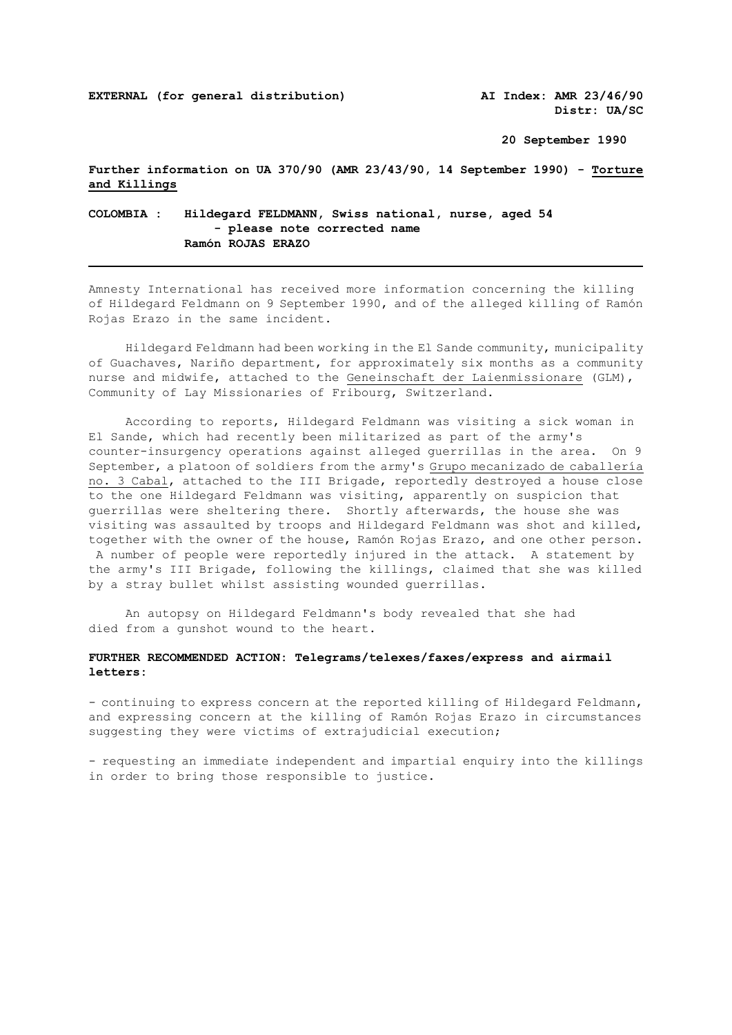**Distr: UA/SC** 

**20 September 1990**

**Further information on UA 370/90 (AMR 23/43/90, 14 September 1990) - Torture and Killings**

**COLOMBIA : Hildegard FELDMANN, Swiss national, nurse, aged 54 - please note corrected name Ramón ROJAS ERAZO** 

Amnesty International has received more information concerning the killing of Hildegard Feldmann on 9 September 1990, and of the alleged killing of Ramón Rojas Erazo in the same incident.

 Hildegard Feldmann had been working in the El Sande community, municipality of Guachaves, Nariño department, for approximately six months as a community nurse and midwife, attached to the Geneinschaft der Laienmissionare (GLM), Community of Lay Missionaries of Fribourg, Switzerland.

 According to reports, Hildegard Feldmann was visiting a sick woman in El Sande, which had recently been militarized as part of the army's counter-insurgency operations against alleged guerrillas in the area. On 9 September, a platoon of soldiers from the army's Grupo mecanizado de caballería no. 3 Cabal, attached to the III Brigade, reportedly destroyed a house close to the one Hildegard Feldmann was visiting, apparently on suspicion that guerrillas were sheltering there. Shortly afterwards, the house she was visiting was assaulted by troops and Hildegard Feldmann was shot and killed, together with the owner of the house, Ramón Rojas Erazo, and one other person. A number of people were reportedly injured in the attack. A statement by the army's III Brigade, following the killings, claimed that she was killed by a stray bullet whilst assisting wounded guerrillas.

 An autopsy on Hildegard Feldmann's body revealed that she had died from a gunshot wound to the heart.

## **FURTHER RECOMMENDED ACTION: Telegrams/telexes/faxes/express and airmail letters:**

- continuing to express concern at the reported killing of Hildegard Feldmann, and expressing concern at the killing of Ramón Rojas Erazo in circumstances suggesting they were victims of extrajudicial execution;

- requesting an immediate independent and impartial enquiry into the killings in order to bring those responsible to justice.